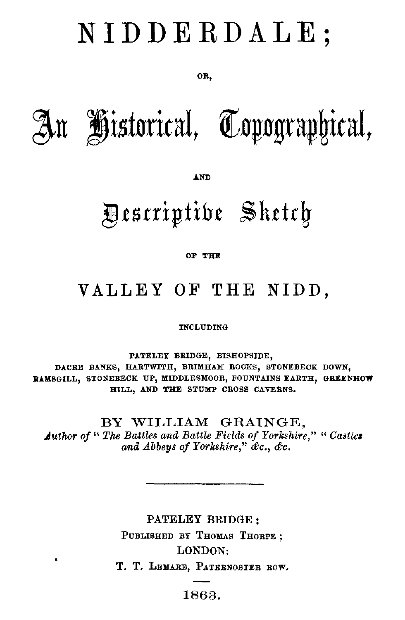# NIDDERDALE,

#### OR,



AND

# Descriptive Sketch

#### OF THE

## VALLEY OF THE NIDD,

INCLUDING

PATELEY BRIDGE, BISHOPSIDE, DACRE BANKS, HARTWITH, BRIMHAM ROCKS, STONEBECK DOWN, RAMSGILL, STONEBECK UP, MIDDLESMOOR, FOUNTAINS EARTH, GREENHOW HILL, AND THE STUMP CROSS CAVERNS.

BY WILLIAM GRAINGE, *Author of " The Battles and Battle Fields of Yorkshire," " Castles and Abbeys of Yorkshire," &c., &c.*

> PATELEY BRIDGE PUBLISHED BY THOMAS THORPE ; LONDON:

T. T. LEMARE, PATERNOSTER BOW.

### 1863.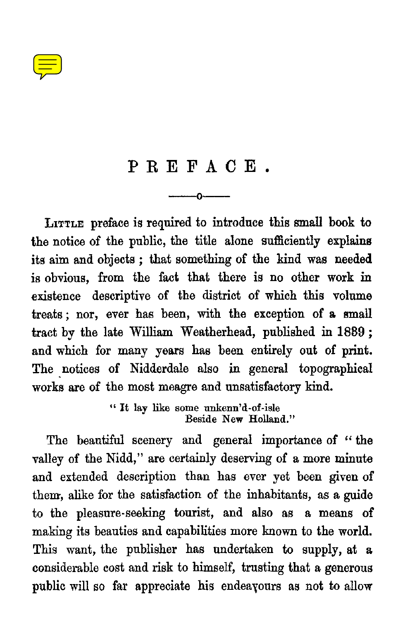### PREFACE.

—o

**LITTLE** preface is required to introduce this small book to the notice of the public, the title alone sufficiently explains its aim and objects ; that something of the kind was needed is obvious, from the fact that there is no other work in existence descriptive of the district of which this volume treats ; nor, ever has been, with the exception of a small tract by the late William Weatherhead, published in 1889 ; and which for many years has been entirely out of print. The notices of Nidderdale also in general topographical works are of the most meagre and unsatisfactory kind.

> " It lay like some unkenn'd-of-isle Beside New Holland."

The beautiful scenery and general importance of " the valley of the Nidd," are certainly deserving of a more minute and extended description than has ever yet been given of them, alike for the satisfaction of the inhabitants, as a guide to the pleasure-seeking tourist, and also as a means of making its beauties and capabilities more known to the world. This want, the publisher has undertaken to supply, at a considerable cost and risk to himself, trusting that a generous public will so far appreciate his endeavours as not to allow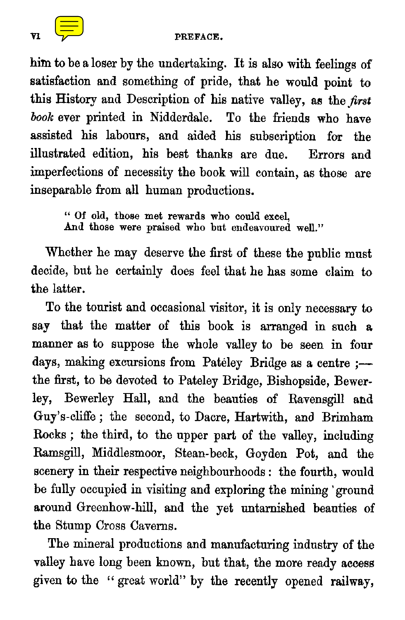him to be a loser by the undertaking. It is also with feelings of satisfaction and something of pride, that he would point to this History and Description of his native valley, as the *first book* ever printed in Nidderdale. To the friends who have assisted his labours, and aided his subscription for the illustrated edition, his best thanks are due. Errors and imperfections of necessity the book will contain, as those are inseparable from all human productions.

" Of old, those met rewards who could excel, And those were praised who but endeavoured well."

Whether he may deserve the first of these the public must decide, but he certainly does feel that he has some claim to the latter.

To the tourist and occasional visitor, it is only necessary to say that the matter of this book is arranged in such **<sup>a</sup>** manner as to suppose the whole valley to be seen in four days, making excursions from Pateley Bridge as a centre :the first, to be devoted to Pateley Bridge, Bishopside, Bewerley, Bewerley Hall, and the beauties of Ravensgill and Guy's-cliffe ; the second, to Dacre, Hartwith, and Brimham Rocks ; the third, to the upper part of the valley, including Ramsgill, Middlesmoor, Stean-beck, Goyden Pot, and the scenery in their respective neighbourhoods : the fourth, would be fully occupied in visiting and exploring the mining 'ground around Greenhow-hill, and the yet untarnished beauties of the Stump Cross Caverns.

The mineral productions and manufacturing industry of the valley have long been known, but that, the more ready access given to the " great world" by the recently opened railway,